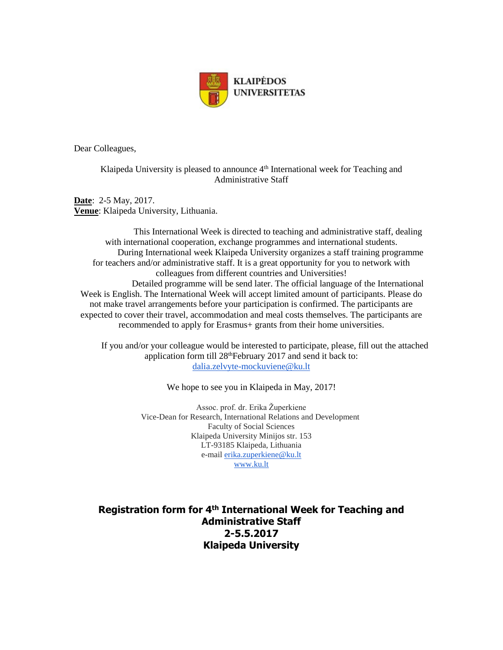

Dear Colleagues,

Klaipeda University is pleased to announce  $4<sup>th</sup>$  International week for Teaching and Administrative Staff

**Date**: 2-5 May, 2017. **Venue**: Klaipeda University, Lithuania.

This International Week is directed to teaching and administrative staff, dealing with international cooperation, exchange programmes and international students. During International week Klaipeda University organizes a staff training programme for teachers and/or administrative staff. It is a great opportunity for you to network with colleagues from different countries and Universities! Detailed programme will be send later. The official language of the International Week is English. The International Week will accept limited amount of participants. Please do not make travel arrangements before your participation is confirmed. The participants are expected to cover their travel, accommodation and meal costs themselves. The participants are recommended to apply for Erasmus+ grants from their home universities.

 If you and/or your colleague would be interested to participate, please, fill out the attached application form till 28<sup>th</sup>February 2017 and send it back to: [dalia.zelvyte-mockuviene@ku.lt](mailto:dalia.zelvyte-mockuviene@ku.lt)

We hope to see you in Klaipeda in May, 2017!

Assoc. prof. dr. Erika Župerkiene Vice-Dean for Research, International Relations and Development Faculty of Social Sciences Klaipeda University Minijos str. 153 LT-93185 Klaipeda, Lithuania e-mail [erika.zuperkiene@ku.lt](mailto:erika.zuperkiene@ku.lt) [www.ku.lt](http://www.ku.lt/)

**Registration form for 4<sup>th</sup> International Week for Teaching and Administrative Staff 2-5.5.2017 Klaipeda University**